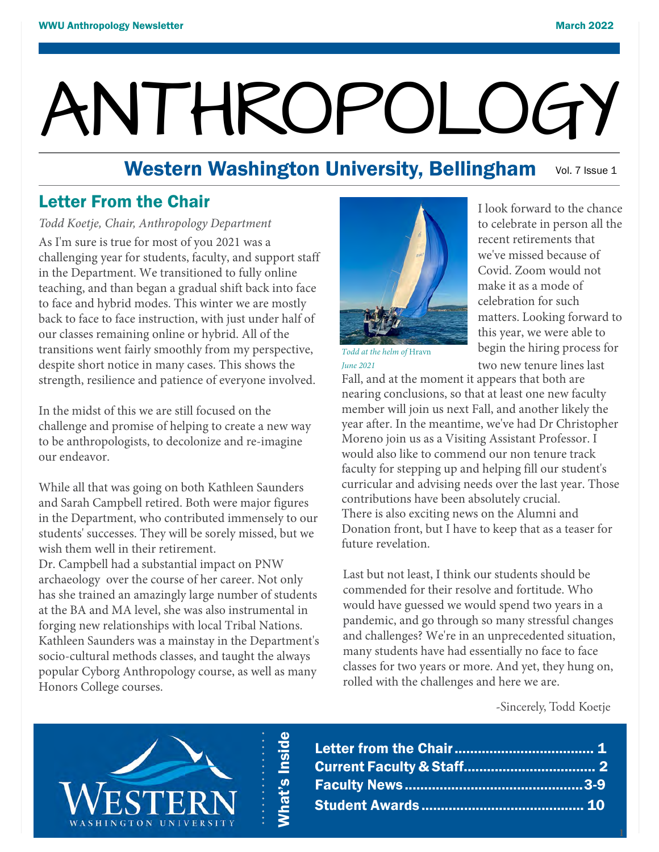# ANTHROPOLOGY

#### Western Washington University, Bellingham Vol. 7 Issue 1

## Letter From the Chair

#### *Todd Koetje, Chair, Anthropology Department*

As I'm sure is true for most of you 2021 was a challenging year for students, faculty, and support staff in the Department. We transitioned to fully online teaching, and than began a gradual shift back into face to face and hybrid modes. This winter we are mostly back to face to face instruction, with just under half of our classes remaining online or hybrid. All of the transitions went fairly smoothly from my perspective, despite short notice in many cases. This shows the strength, resilience and patience of everyone involved.

In the midst of this we are still focused on the challenge and promise of helping to create a new way to be anthropologists, to decolonize and re-imagine our endeavor.

While all that was going on both Kathleen Saunders and Sarah Campbell retired. Both were major figures in the Department, who contributed immensely to our students' successes. They will be sorely missed, but we wish them well in their retirement.

Dr. Campbell had a substantial impact on PNW archaeology over the course of her career. Not only has she trained an amazingly large number of students at the BA and MA level, she was also instrumental in forging new relationships with local Tribal Nations. Kathleen Saunders was a mainstay in the Department's socio-cultural methods classes, and taught the always popular Cyborg Anthropology course, as well as many Honors College courses.



I look forward to the chance to celebrate in person all the recent retirements that we've missed because of Covid. Zoom would not make it as a mode of celebration for such matters. Looking forward to this year, we were able to *Todd at the helm of Hravn* **begin the hiring process for** 

*June 2021* **two new tenure lines last** 

Fall, and at the moment it appears that both are nearing conclusions, so that at least one new faculty member will join us next Fall, and another likely the year after. In the meantime, we've had Dr Christopher Moreno join us as a Visiting Assistant Professor. I would also like to commend our non tenure track faculty for stepping up and helping fill our student's curricular and advising needs over the last year. Those contributions have been absolutely crucial. There is also exciting news on the Alumni and Donation front, but I have to keep that as a teaser for future revelation.

Last but not least, I think our students should be commended for their resolve and fortitude. Who would have guessed we would spend two years in a pandemic, and go through so many stressful changes and challenges? We're in an unprecedented situation, many students have had essentially no face to face classes for two years or more. And yet, they hung on, rolled with the challenges and here we are.

-Sincerely, Todd Koetje

**1**



What's Inside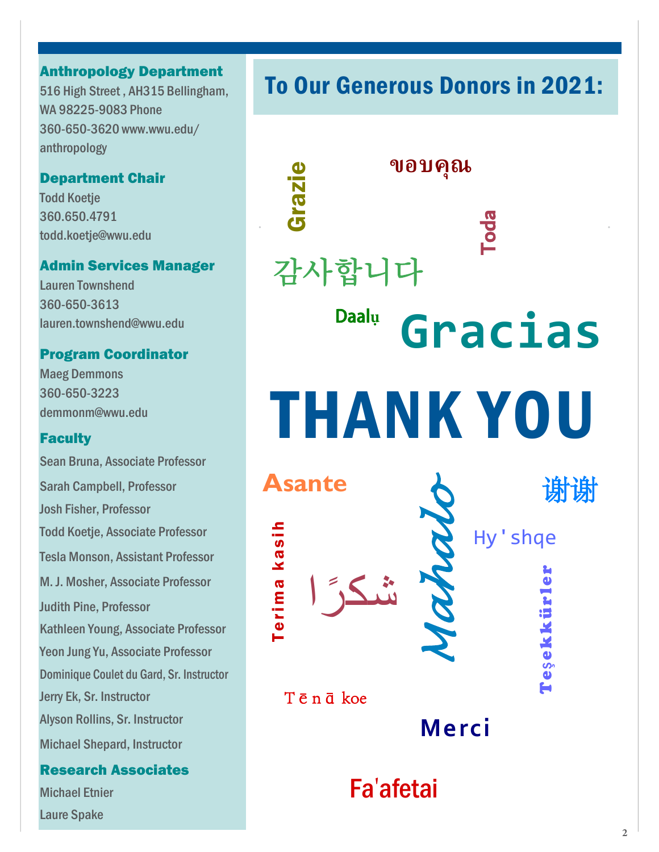#### Anthropology Department

516 High Street , AH315 Bellingham, WA 98225-9083 Phone 360-650-3620 www.wwu.edu/ anthropology

#### Department Chair

**Todd Koetie** 360.650.4791 todd.koetje@wwu.edu

#### Admin Services Manager

Lauren Townshend 360-650-3613 lauren.townshend@wwu.edu

#### Program Coordinator

Maeg Demmons 360-650-3223 demmonm@wwu.edu

#### **Faculty**

Sean Bruna, Associate Professor Sarah Campbell, Professor Josh Fisher, Professor Todd Koetje, Associate Professor Tesla Monson, Assistant Professor M. J. Mosher, Associate Professor Judith Pine, Professor Kathleen Young, Associate Professor Yeon Jung Yu, Associate Professor Dominique Coulet du Gard, Sr. Instructor Jerry Ek, Sr. Instructor Alyson Rollins, Sr. Instructor Michael Shepard, Instructor

#### Research Associates

Michael Etnier Laure Spake

# To Our Generous Donors in 2021:

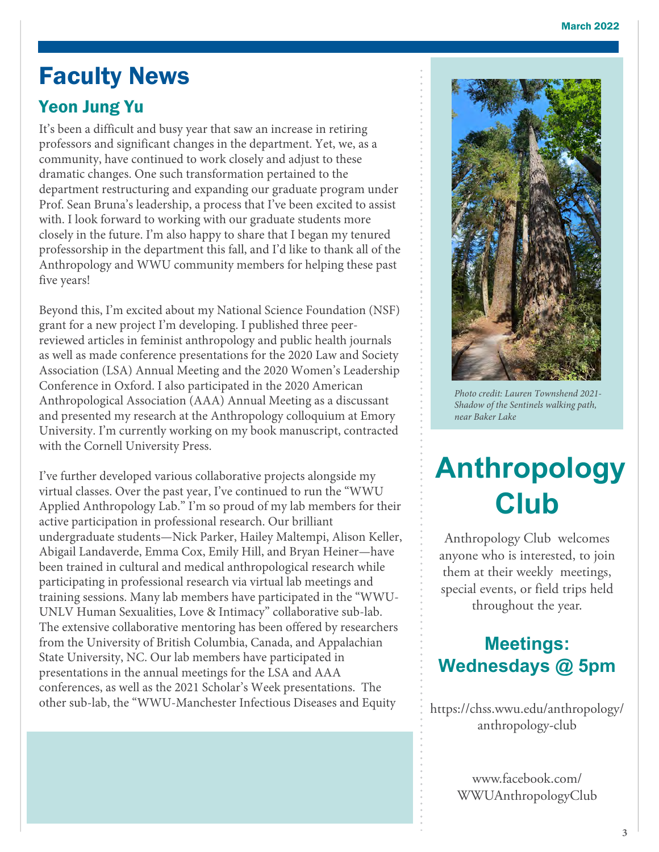# Faculty News

# Yeon Jung Yu

It's been a difficult and busy year that saw an increase in retiring professors and significant changes in the department. Yet, we, as a community, have continued to work closely and adjust to these dramatic changes. One such transformation pertained to the department restructuring and expanding our graduate program under Prof. Sean Bruna's leadership, a process that I've been excited to assist with. I look forward to working with our graduate students more closely in the future. I'm also happy to share that I began my tenured professorship in the department this fall, and I'd like to thank all of the Anthropology and WWU community members for helping these past five years!

Beyond this, I'm excited about my National Science Foundation (NSF) grant for a new project I'm developing. I published three peerreviewed articles in feminist anthropology and public health journals as well as made conference presentations for the 2020 Law and Society Association (LSA) Annual Meeting and the 2020 Women's Leadership Conference in Oxford. I also participated in the 2020 American Anthropological Association (AAA) Annual Meeting as a discussant and presented my research at the Anthropology colloquium at Emory University. I'm currently working on my book manuscript, contracted with the Cornell University Press.

I've further developed various collaborative projects alongside my virtual classes. Over the past year, I've continued to run the "WWU Applied Anthropology Lab." I'm so proud of my lab members for their active participation in professional research. Our brilliant undergraduate students—Nick Parker, Hailey Maltempi, Alison Keller, Abigail Landaverde, Emma Cox, Emily Hill, and Bryan Heiner—have been trained in cultural and medical anthropological research while participating in professional research via virtual lab meetings and training sessions. Many lab members have participated in the "WWU-UNLV Human Sexualities, Love & Intimacy" collaborative sub-lab. The extensive collaborative mentoring has been offered by researchers from the University of British Columbia, Canada, and Appalachian State University, NC. Our lab members have participated in presentations in the annual meetings for the LSA and AAA conferences, as well as the 2021 Scholar's Week presentations. The other sub-lab, the "WWU-Manchester Infectious Diseases and Equity



*Photo credit: Lauren Townshend 2021- Shadow of the Sentinels walking path, near Baker Lake* 

# **Anthropology Club**

Anthropology Club welcomes anyone who is interested, to join them at their weekly meetings, special events, or field trips held throughout the year.

# **Meetings: Wednesdays @ 5pm**

https://chss.wwu.edu/anthropology/ anthropology-club

> www.facebook.com/ WWUAnthropologyClub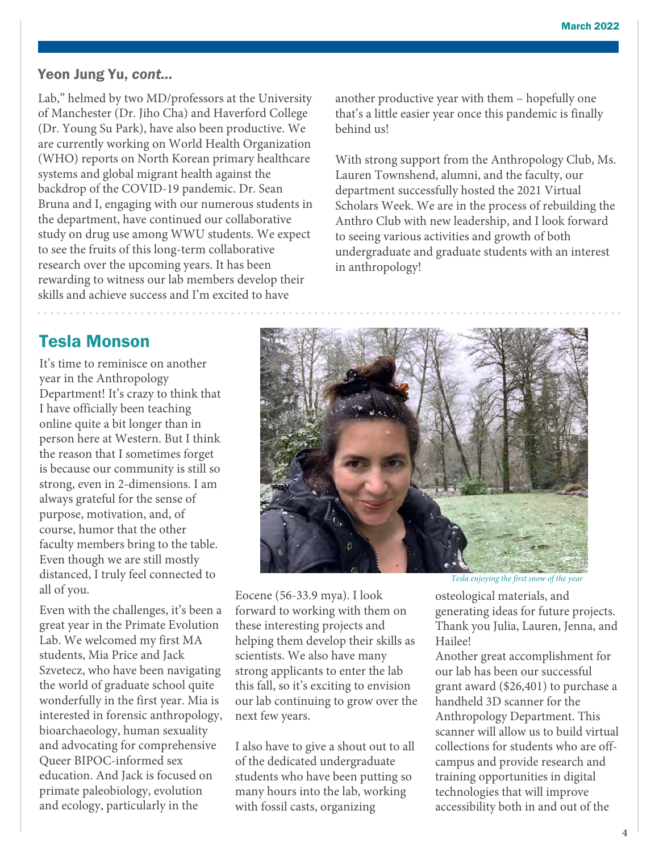#### Yeon Jung Yu, *cont...*

Lab," helmed by two MD/professors at the University of Manchester (Dr. Jiho Cha) and Haverford College (Dr. Young Su Park), have also been productive. We are currently working on World Health Organization (WHO) reports on North Korean primary healthcare systems and global migrant health against the backdrop of the COVID-19 pandemic. Dr. Sean Bruna and I, engaging with our numerous students in the department, have continued our collaborative study on drug use among WWU students. We expect to see the fruits of this long-term collaborative research over the upcoming years. It has been rewarding to witness our lab members develop their skills and achieve success and I'm excited to have

another productive year with them – hopefully one that's a little easier year once this pandemic is finally behind us!

With strong support from the Anthropology Club, Ms. Lauren Townshend, alumni, and the faculty, our department successfully hosted the 2021 Virtual Scholars Week. We are in the process of rebuilding the Anthro Club with new leadership, and I look forward to seeing various activities and growth of both undergraduate and graduate students with an interest in anthropology!

## Tesla Monson

It's time to reminisce on another year in the Anthropology Department! It's crazy to think that I have officially been teaching online quite a bit longer than in person here at Western. But I think the reason that I sometimes forget is because our community is still so strong, even in 2-dimensions. I am always grateful for the sense of purpose, motivation, and, of course, humor that the other faculty members bring to the table. Even though we are still mostly distanced, I truly feel connected to all of you.

Even with the challenges, it's been a great year in the Primate Evolution Lab. We welcomed my first MA students, Mia Price and Jack Szvetecz, who have been navigating the world of graduate school quite wonderfully in the first year. Mia is interested in forensic anthropology, bioarchaeology, human sexuality and advocating for comprehensive Queer BIPOC-informed sex education. And Jack is focused on primate paleobiology, evolution and ecology, particularly in the



Eocene (56-33.9 mya). I look forward to working with them on these interesting projects and helping them develop their skills as scientists. We also have many strong applicants to enter the lab this fall, so it's exciting to envision our lab continuing to grow over the next few years.

I also have to give a shout out to all of the dedicated undergraduate students who have been putting so many hours into the lab, working with fossil casts, organizing

*Tesla enjoying the first snow of the year*

osteological materials, and generating ideas for future projects. Thank you Julia, Lauren, Jenna, and Hailee!

Another great accomplishment for our lab has been our successful grant award (\$26,401) to purchase a handheld 3D scanner for the Anthropology Department. This scanner will allow us to build virtual collections for students who are offcampus and provide research and training opportunities in digital technologies that will improve accessibility both in and out of the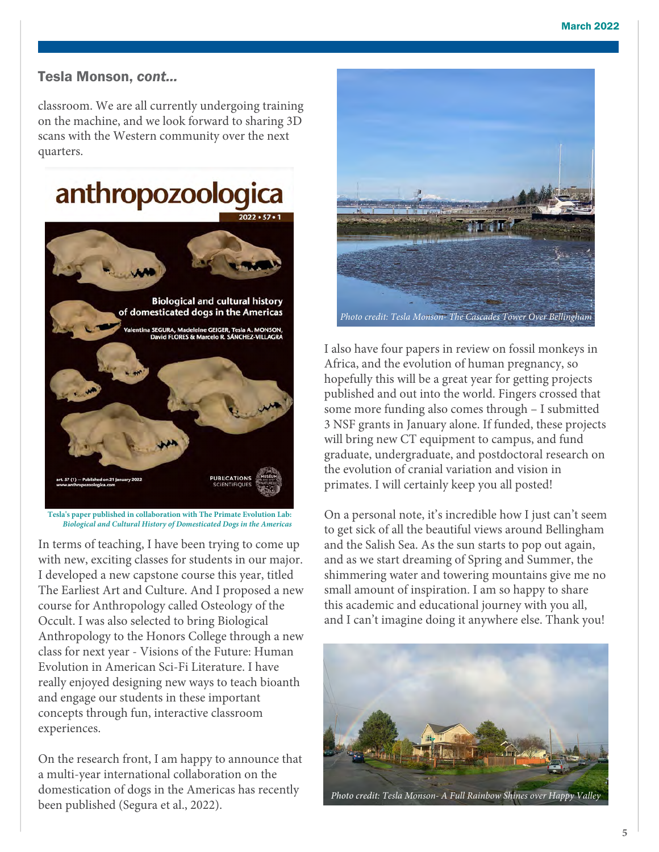#### Tesla Monson, *cont...*

classroom. We are all currently undergoing training on the machine, and we look forward to sharing 3D scans with the Western community over the next quarters.



**Tesla's paper published in collaboration with The Primate Evolution Lab:**  *Biological and Cultural History of Domesticated Dogs in the Americas*

In terms of teaching, I have been trying to come up with new, exciting classes for students in our major. I developed a new capstone course this year, titled The Earliest Art and Culture. And I proposed a new course for Anthropology called Osteology of the Occult. I was also selected to bring Biological Anthropology to the Honors College through a new class for next year - Visions of the Future: Human Evolution in American Sci-Fi Literature. I have really enjoyed designing new ways to teach bioanth and engage our students in these important concepts through fun, interactive classroom experiences.

On the research front, I am happy to announce that a multi-year international collaboration on the domestication of dogs in the Americas has recently been published (Segura et al., 2022).



I also have four papers in review on fossil monkeys in Africa, and the evolution of human pregnancy, so hopefully this will be a great year for getting projects published and out into the world. Fingers crossed that some more funding also comes through – I submitted 3 NSF grants in January alone. If funded, these projects will bring new CT equipment to campus, and fund graduate, undergraduate, and postdoctoral research on the evolution of cranial variation and vision in primates. I will certainly keep you all posted!

On a personal note, it's incredible how I just can't seem to get sick of all the beautiful views around Bellingham and the Salish Sea. As the sun starts to pop out again, and as we start dreaming of Spring and Summer, the shimmering water and towering mountains give me no small amount of inspiration. I am so happy to share this academic and educational journey with you all, and I can't imagine doing it anywhere else. Thank you!

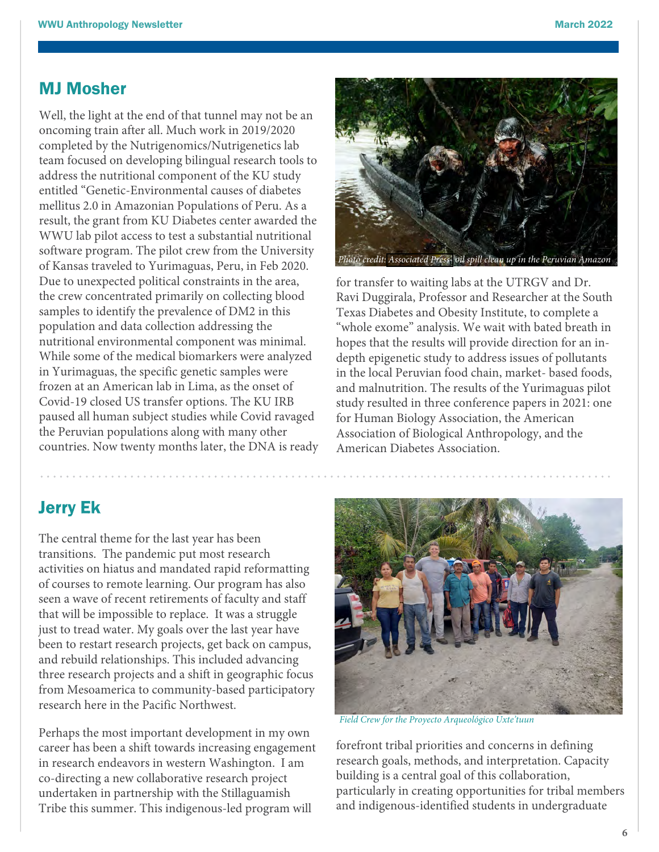#### MJ Mosher

Well, the light at the end of that tunnel may not be an oncoming train after all. Much work in 2019/2020 completed by the Nutrigenomics/Nutrigenetics lab team focused on developing bilingual research tools to address the nutritional component of the KU study entitled "Genetic-Environmental causes of diabetes mellitus 2.0 in Amazonian Populations of Peru. As a result, the grant from KU Diabetes center awarded the WWU lab pilot access to test a substantial nutritional software program. The pilot crew from the University of Kansas traveled to Yurimaguas, Peru, in Feb 2020. Due to unexpected political constraints in the area, the crew concentrated primarily on collecting blood samples to identify the prevalence of DM2 in this population and data collection addressing the nutritional environmental component was minimal. While some of the medical biomarkers were analyzed in Yurimaguas, the specific genetic samples were frozen at an American lab in Lima, as the onset of Covid-19 closed US transfer options. The KU IRB paused all human subject studies while Covid ravaged the Peruvian populations along with many other countries. Now twenty months later, the DNA is ready



for transfer to waiting labs at the UTRGV and Dr. Ravi Duggirala, Professor and Researcher at the South Texas Diabetes and Obesity Institute, to complete a "whole exome" analysis. We wait with bated breath in hopes that the results will provide direction for an indepth epigenetic study to address issues of pollutants in the local Peruvian food chain, market- based foods, and malnutrition. The results of the Yurimaguas pilot study resulted in three conference papers in 2021: one for Human Biology Association, the American Association of Biological Anthropology, and the American Diabetes Association.

## Jerry Ek

The central theme for the last year has been transitions. The pandemic put most research activities on hiatus and mandated rapid reformatting of courses to remote learning. Our program has also seen a wave of recent retirements of faculty and staff that will be impossible to replace. It was a struggle just to tread water. My goals over the last year have been to restart research projects, get back on campus, and rebuild relationships. This included advancing three research projects and a shift in geographic focus from Mesoamerica to community-based participatory research here in the Pacific Northwest.

Perhaps the most important development in my own career has been a shift towards increasing engagement in research endeavors in western Washington. I am co-directing a new collaborative research project undertaken in partnership with the Stillaguamish Tribe this summer. This indigenous-led program will



*Field Crew for the Proyecto Arqueológico Uxte'tuun*

forefront tribal priorities and concerns in defining research goals, methods, and interpretation. Capacity building is a central goal of this collaboration, particularly in creating opportunities for tribal members and indigenous-identified students in undergraduate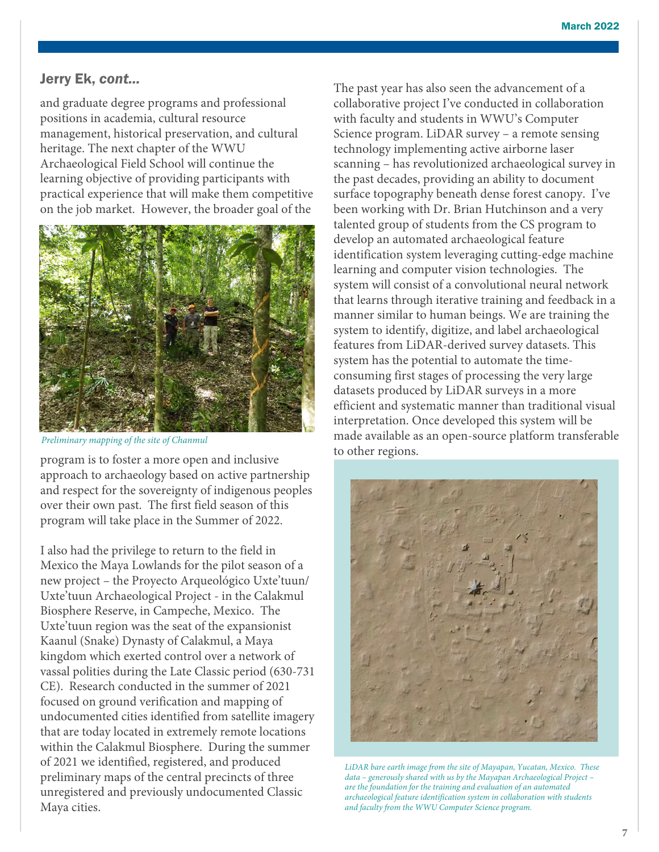#### Jerry Ek, *cont...*

and graduate degree programs and professional positions in academia, cultural resource management, historical preservation, and cultural heritage. The next chapter of the WWU Archaeological Field School will continue the learning objective of providing participants with practical experience that will make them competitive on the job market. However, the broader goal of the



*Preliminary mapping of the site of Chanmul* 

program is to foster a more open and inclusive approach to archaeology based on active partnership and respect for the sovereignty of indigenous peoples over their own past. The first field season of this program will take place in the Summer of 2022.

I also had the privilege to return to the field in Mexico the Maya Lowlands for the pilot season of a new project – the Proyecto Arqueológico Uxte'tuun/ Uxte'tuun Archaeological Project - in the Calakmul Biosphere Reserve, in Campeche, Mexico. The Uxte'tuun region was the seat of the expansionist Kaanul (Snake) Dynasty of Calakmul, a Maya kingdom which exerted control over a network of vassal polities during the Late Classic period (630-731 CE). Research conducted in the summer of 2021 focused on ground verification and mapping of undocumented cities identified from satellite imagery that are today located in extremely remote locations within the Calakmul Biosphere. During the summer of 2021 we identified, registered, and produced preliminary maps of the central precincts of three unregistered and previously undocumented Classic Maya cities.

The past year has also seen the advancement of a collaborative project I've conducted in collaboration with faculty and students in WWU's Computer Science program. LiDAR survey – a remote sensing technology implementing active airborne laser scanning – has revolutionized archaeological survey in the past decades, providing an ability to document surface topography beneath dense forest canopy. I've been working with Dr. Brian Hutchinson and a very talented group of students from the CS program to develop an automated archaeological feature identification system leveraging cutting-edge machine learning and computer vision technologies. The system will consist of a convolutional neural network that learns through iterative training and feedback in a manner similar to human beings. We are training the system to identify, digitize, and label archaeological features from LiDAR-derived survey datasets. This system has the potential to automate the timeconsuming first stages of processing the very large datasets produced by LiDAR surveys in a more efficient and systematic manner than traditional visual interpretation. Once developed this system will be made available as an open-source platform transferable to other regions.



*LiDAR bare earth image from the site of Mayapan, Yucatan, Mexico. These data – generously shared with us by the Mayapan Archaeological Project – are the foundation for the training and evaluation of an automated archaeological feature identification system in collaboration with students and faculty from the WWU Computer Science program.*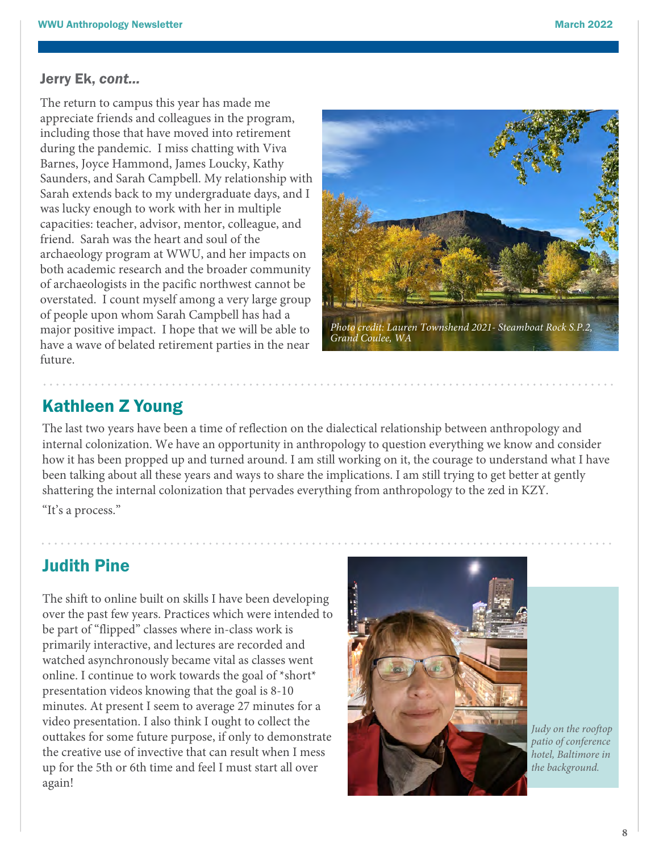#### Jerry Ek, *cont...*

The return to campus this year has made me appreciate friends and colleagues in the program, including those that have moved into retirement during the pandemic. I miss chatting with Viva Barnes, Joyce Hammond, James Loucky, Kathy Saunders, and Sarah Campbell. My relationship with Sarah extends back to my undergraduate days, and I was lucky enough to work with her in multiple capacities: teacher, advisor, mentor, colleague, and friend. Sarah was the heart and soul of the archaeology program at WWU, and her impacts on both academic research and the broader community of archaeologists in the pacific northwest cannot be overstated. I count myself among a very large group of people upon whom Sarah Campbell has had a major positive impact. I hope that we will be able to have a wave of belated retirement parties in the near future.



# Kathleen Z Young

The last two years have been a time of reflection on the dialectical relationship between anthropology and internal colonization. We have an opportunity in anthropology to question everything we know and consider how it has been propped up and turned around. I am still working on it, the courage to understand what I have been talking about all these years and ways to share the implications. I am still trying to get better at gently shattering the internal colonization that pervades everything from anthropology to the zed in KZY. "It's a process."

## Judith Pine

The shift to online built on skills I have been developing over the past few years. Practices which were intended to be part of "flipped" classes where in-class work is primarily interactive, and lectures are recorded and watched asynchronously became vital as classes went online. I continue to work towards the goal of \*short\* presentation videos knowing that the goal is 8-10 minutes. At present I seem to average 27 minutes for a video presentation. I also think I ought to collect the outtakes for some future purpose, if only to demonstrate the creative use of invective that can result when I mess up for the 5th or 6th time and feel I must start all over again!



*Judy on the rooftop patio of conference hotel, Baltimore in the background.*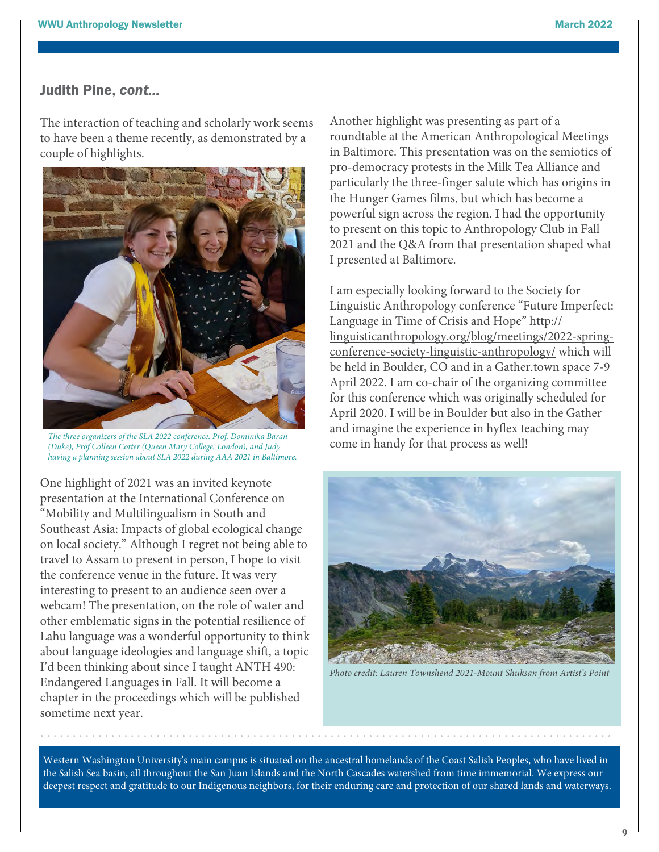#### Judith Pine, *cont...*

The interaction of teaching and scholarly work seems to have been a theme recently, as demonstrated by a couple of highlights.



*The three organizers of the SLA 2022 conference. Prof. Dominika Baran (Duke), Prof Colleen Cotter (Queen Mary College, London), and Judy having a planning session about SLA 2022 during AAA 2021 in Baltimore.*

One highlight of 2021 was an invited keynote presentation at the International Conference on "Mobility and Multilingualism in South and Southeast Asia: Impacts of global ecological change on local society." Although I regret not being able to travel to Assam to present in person, I hope to visit the conference venue in the future. It was very interesting to present to an audience seen over a webcam! The presentation, on the role of water and other emblematic signs in the potential resilience of Lahu language was a wonderful opportunity to think about language ideologies and language shift, a topic I'd been thinking about since I taught ANTH 490: Endangered Languages in Fall. It will become a chapter in the proceedings which will be published sometime next year.

Another highlight was presenting as part of a roundtable at the American Anthropological Meetings in Baltimore. This presentation was on the semiotics of pro-democracy protests in the Milk Tea Alliance and particularly the three-finger salute which has origins in the Hunger Games films, but which has [become a](http://linguisticanthropology.org/blog/meetings/2022-spring-conference-society-linguistic-anthropology/) [powerful sign across the region. I had the opportunity](http://linguisticanthropology.org/blog/meetings/2022-spring-conference-society-linguistic-anthropology/)  to present on this topic to Anthropology Club in Fall 2021 and the Q&A from that presentation shaped what I presented at Baltimore.

I am especially looking forward to the Society for Linguistic Anthropology conference "Future Imperfect: Language in Time of Crisis and Hope" http:// [linguisticanthropology.org/blog/meetings/2022-spr](http://linguisticanthropology.org/blog/meetings/2022-spring-conference-society-linguistic-anthropology/)ingconference-[society-linguistic-anthropology/ whi](http://linguisticanthropology.org/blog/meetings/2022-spring-conference-society-linguistic-anthropology/)ch will be held in Boulder, CO and in a Gather.town space 7-9 April 2022. I am co-chair of the organizing committee for this conference which was originally scheduled for April 2020. I will be in Boulder but also in the Gather and imagine the experience in hyflex teaching may come in handy for that process as well!



*Photo credit: Lauren Townshend 2021-Mount Shuksan from Artist's Point*

Western Washington University's main campus is situated on the ancestral homelands of the Coast Salish Peoples, who have lived in the Salish Sea basin, all throughout the San Juan Islands and the North Cascades watershed from time immemorial. We express our deepest respect and gratitude to our Indigenous neighbors, for their enduring care and protection of our shared lands and waterways.